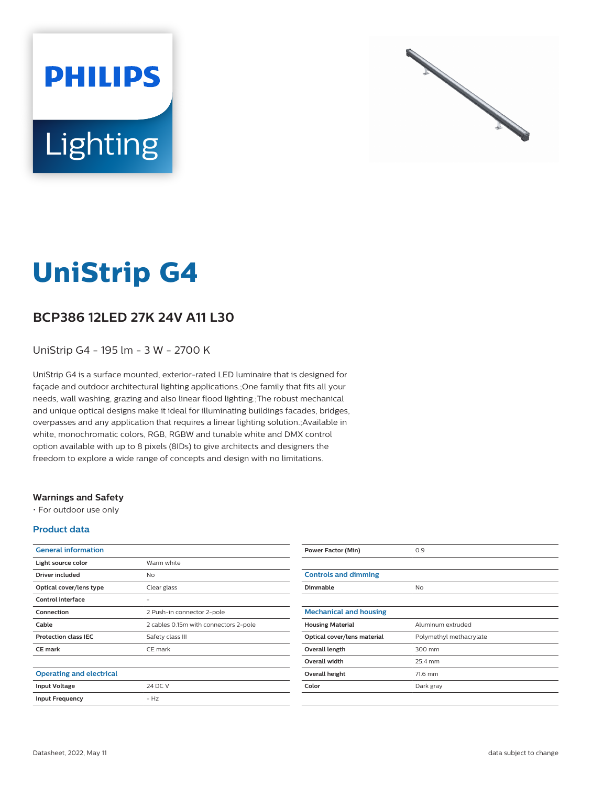



# **UniStrip G4**

## **BCP386 12LED 27K 24V A11 L30**

UniStrip G4 - 195 lm - 3 W - 2700 K

UniStrip G4 is a surface mounted, exterior-rated LED luminaire that is designed for façade and outdoor architectural lighting applications.;One family that fits all your needs, wall washing, grazing and also linear flood lighting.;The robust mechanical and unique optical designs make it ideal for illuminating buildings facades, bridges, overpasses and any application that requires a linear lighting solution.;Available in white, monochromatic colors, RGB, RGBW and tunable white and DMX control option available with up to 8 pixels (8IDs) to give architects and designers the freedom to explore a wide range of concepts and design with no limitations.

### **Warnings and Safety**

• For outdoor use only

### **Product data**

| <b>General information</b>      |                                       |
|---------------------------------|---------------------------------------|
| Light source color              | Warm white                            |
| Driver included                 | No                                    |
| Optical cover/lens type         | Clear glass                           |
| Control interface               |                                       |
| Connection                      | 2 Push-in connector 2-pole            |
| Cable                           | 2 cables 0.15m with connectors 2-pole |
| <b>Protection class IEC</b>     | Safety class III                      |
| <b>CE</b> mark                  | CE mark                               |
|                                 |                                       |
| <b>Operating and electrical</b> |                                       |
| <b>Input Voltage</b>            | 24 DC V                               |
| <b>Input Frequency</b>          | $-HZ$                                 |
|                                 |                                       |

| <b>Power Factor (Min)</b>     | 0.9                     |
|-------------------------------|-------------------------|
|                               |                         |
| <b>Controls and dimming</b>   |                         |
| Dimmable                      | <b>No</b>               |
|                               |                         |
| <b>Mechanical and housing</b> |                         |
| <b>Housing Material</b>       | Aluminum extruded       |
| Optical cover/lens material   | Polymethyl methacrylate |
| Overall length                | 300 mm                  |
| Overall width                 | 25.4 mm                 |
| <b>Overall height</b>         | 71.6 mm                 |
| Color                         | Dark gray               |
|                               |                         |